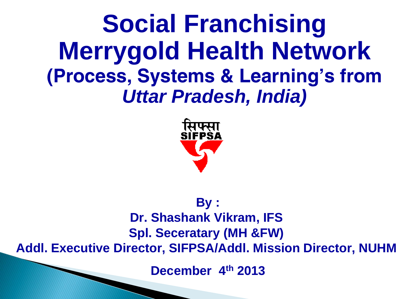**Social Franchising Merrygold Health Network**  *(Process, Systems & Learning's from Uttar Pradesh, India)*



#### **By : Dr. Shashank Vikram, IFS Spl. Seceratary (MH &FW) Addl. Executive Director, SIFPSA/Addl. Mission Director, NUHM**

**December 4th 2013**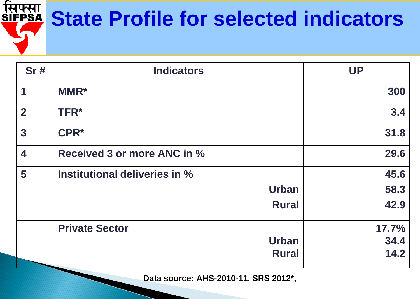#### सिफ्सा<br><u>SIFPSA</u> **State Profile for selected indicators**

| <b>Sr#</b>              | <b>Indicators</b>                  | <b>UP</b> |
|-------------------------|------------------------------------|-----------|
| $\overline{\mathbf{1}}$ | <b>MMR*</b>                        | 300       |
| $\overline{2}$          | <b>TFR*</b>                        | 3.4       |
| $\overline{\mathbf{3}}$ | CPR*                               | 31.8      |
| $\overline{\mathbf{4}}$ | <b>Received 3 or more ANC in %</b> | 29.6      |
| 5                       | Institutional deliveries in %      | 45.6      |
|                         | <b>Urban</b>                       | 58.3      |
|                         | <b>Rural</b>                       | 42.9      |
|                         | <b>Private Sector</b>              | 17.7%     |
|                         | <b>Urban</b>                       | 34.4      |
|                         | <b>Rural</b>                       | 14.2      |

**Data source: AHS-2010-11, SRS 2012\*,**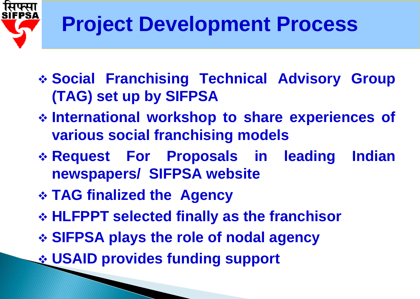

### **Project Development Process**

- **Social Franchising Technical Advisory Group (TAG) set up by SIFPSA**
- **International workshop to share experiences of various social franchising models**
- **Request For Proposals in leading Indian newspapers/ SIFPSA website**
- **TAG finalized the Agency**
- **HLFPPT selected finally as the franchisor**
- **SIFPSA plays the role of nodal agency**
- **USAID provides funding support**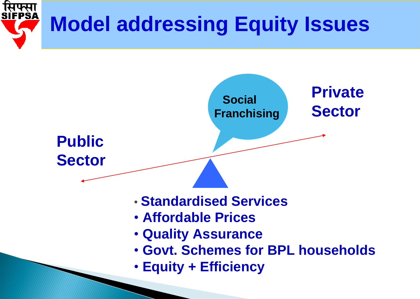

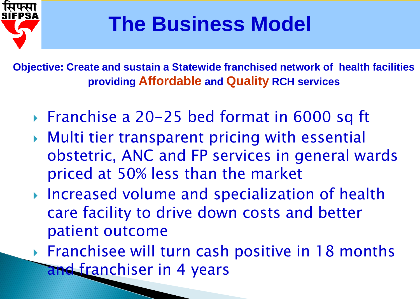

### **The Business Model**

**Objective: Create and sustain a Statewide franchised network of health facilities providing Affordable and Quality RCH services**

- ▶ Franchise a 20-25 bed format in 6000 sq ft
- Multi tier transparent pricing with essential obstetric, ANC and FP services in general wards priced at 50% less than the market
- ▶ Increased volume and specialization of health care facility to drive down costs and better patient outcome
- ▶ Franchisee will turn cash positive in 18 months and franchiser in 4 years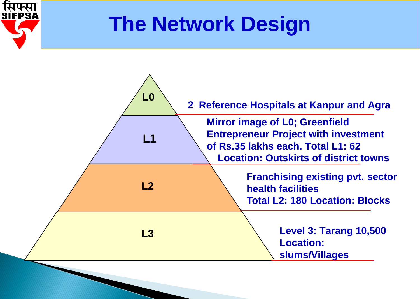

### **The Network Design**

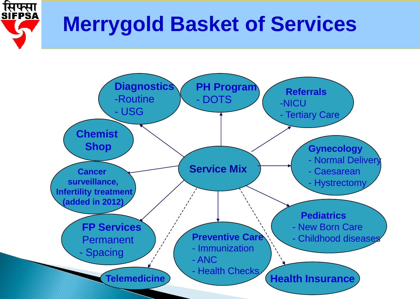

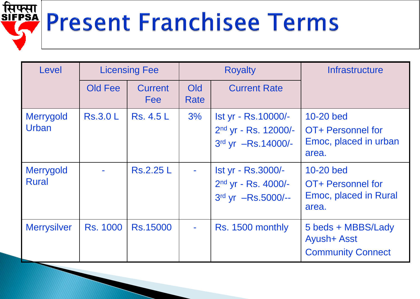# **RIFPSA Present Franchisee Terms**

| Level                            | <b>Licensing Fee</b> |                              | <b>Royalty</b> |                                                                     | <b>Infrastructure</b>                                                |
|----------------------------------|----------------------|------------------------------|----------------|---------------------------------------------------------------------|----------------------------------------------------------------------|
|                                  | Old Fee              | <b>Current</b><br><b>Fee</b> | Old<br>Rate    | <b>Current Rate</b>                                                 |                                                                      |
| Merrygold<br>Urban               | <b>Rs.3.0 L</b>      | <b>Rs. 4.5 L</b>             | 3%             | Ist yr - Rs.10000/-<br>$2nd$ yr - Rs. 12000/-<br>3rd yr -Rs.14000/- | 10-20 bed<br>OT+ Personnel for<br>Emoc, placed in urban<br>area.     |
| <b>Merrygold</b><br><b>Rural</b> |                      | <b>Rs.2.25 L</b>             |                | Ist yr - Rs.3000/-<br>2nd yr - Rs. 4000/-<br>3rd yr -Rs.5000/--     | 10-20 bed<br>OT+ Personnel for<br>Emoc, placed in Rural<br>area.     |
| <b>Merrysilver</b>               | <b>Rs. 1000</b>      | <b>Rs.15000</b>              | ٠              | Rs. 1500 monthly                                                    | 5 beds + MBBS/Lady<br><b>Ayush+ Asst</b><br><b>Community Connect</b> |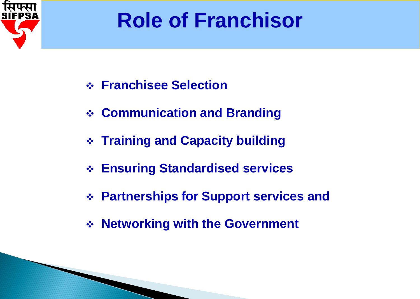

### **Role of Franchisor**

- **Franchisee Selection**
- **Communication and Branding**
- **Training and Capacity building**
- **Ensuring Standardised services**
- **Partnerships for Support services and**
- **Networking with the Government**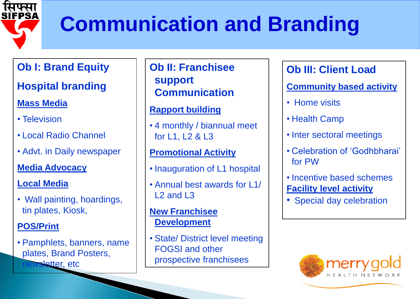

### **Communication and Branding**

#### **Ob I: Brand Equity**

#### **Hospital branding**

#### **Mass Media**

- Television
- Local Radio Channel
- Advt. in Daily newspaper

#### **Media Advocacy**

#### **Local Media**

• Wall painting, hoardings, tin plates, Kiosk,

#### **POS/Print**

• Pamphlets, banners, name plates, Brand Posters, sletter, etc

#### **Ob II: Franchisee support Communication**

#### **Rapport building**

• 4 monthly / biannual meet for L1, L2 & L3

#### **Promotional Activity**

- Inauguration of L1 hospital
- Annual best awards for L1/  $12$  and  $13$

#### **New Franchisee Development**

• State/ District level meeting FOGSI and other prospective franchisees

#### **Ob III: Client Load**

**Community based activity**

- Home visits
- Health Camp
- Inter sectoral meetings
- Celebration of 'Godhbharai' for PW
- Incentive based schemes **Facility level activity**
- Special day celebration

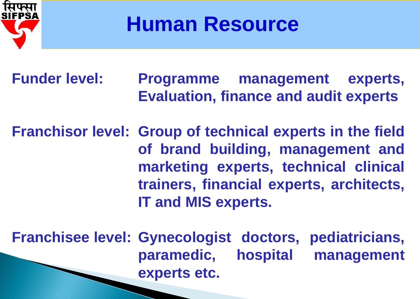

**Human Resource**

**Funder level: Programme management experts, Evaluation, finance and audit experts**

**Franchisor level: Group of technical experts in the field of brand building, management and marketing experts, technical clinical trainers, financial experts, architects, IT and MIS experts.**

**Franchisee level: Gynecologist doctors, pediatricians, paramedic, hospital management experts etc.**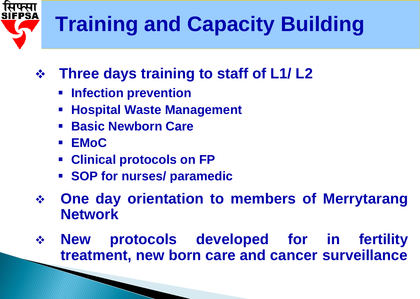## **Training and Capacity Building**

- **Three days training to staff of L1/ L2**
	- **Infection prevention**
	- **Hospital Waste Management**
	- **Basic Newborn Care**
	- **EMoC**
	- **Clinical protocols on FP**
	- **SOP for nurses/ paramedic**
- **One day orientation to members of Merrytarang Network**
- **New protocols developed for in fertility treatment, new born care and cancer surveillance**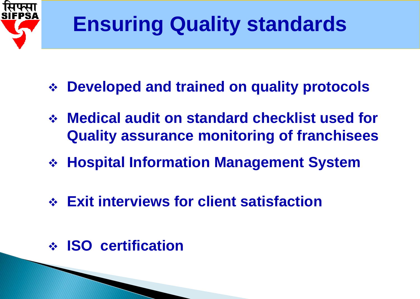

### **Ensuring Quality standards**

- **Developed and trained on quality protocols**
- **Medical audit on standard checklist used for Quality assurance monitoring of franchisees**
- **Hospital Information Management System**
- **Exit interviews for client satisfaction**
- **ISO certification**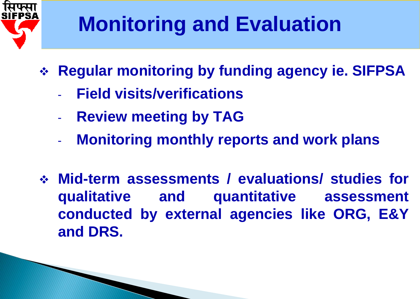

### **Monitoring and Evaluation**

- **Regular monitoring by funding agency ie. SIFPSA**
	- **Field visits/verifications**
	- **Review meeting by TAG**
	- **Monitoring monthly reports and work plans**
- **Mid-term assessments / evaluations/ studies for qualitative and quantitative assessment conducted by external agencies like ORG, E&Y and DRS.**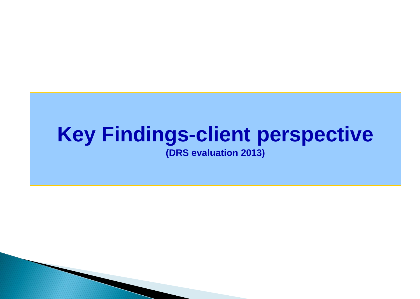#### **Key Findings-client perspective (DRS evaluation 2013)**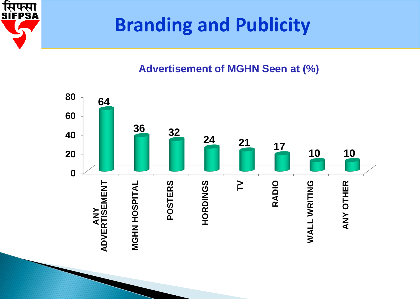

### **Branding and Publicity**

#### **Advertisement of MGHN Seen at (%)**

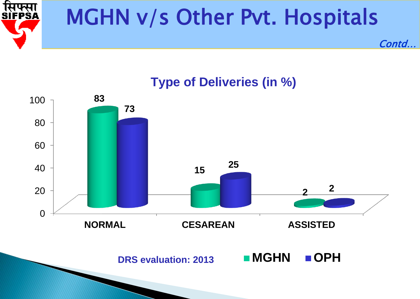

### MGHN v/s Other Pvt. Hospitals



**MGHN OPH**

Contd…

**Type of Deliveries (in %)**

**DRS evaluation: 2013**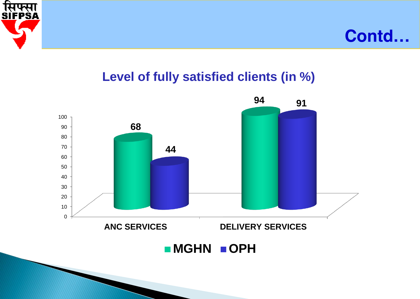



#### **Level of fully satisfied clients (in %)**

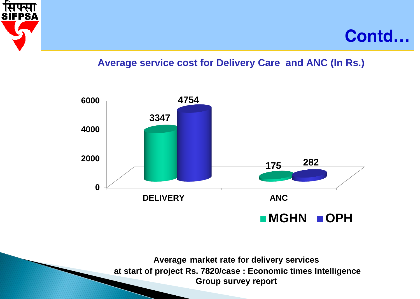



#### **Average service cost for Delivery Care and ANC (In Rs.)**



**Average market rate for delivery services at start of project Rs. 7820/case : Economic times Intelligence Group survey report**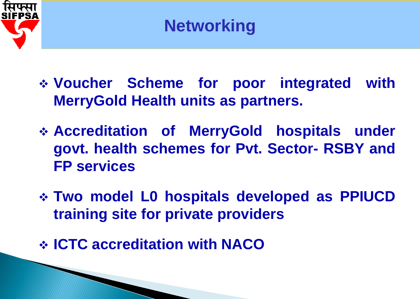

- **Voucher Scheme for poor integrated with MerryGold Health units as partners.**
- **Accreditation of MerryGold hospitals under govt. health schemes for Pvt. Sector- RSBY and FP services**
- **Two model L0 hospitals developed as PPIUCD training site for private providers**
- **ICTC accreditation with NACO**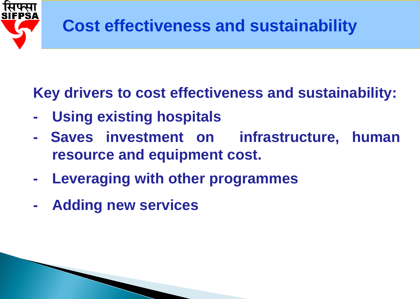

### **Key drivers to cost effectiveness and sustainability:**

- **- Using existing hospitals**
- **- Saves investment on infrastructure, human resource and equipment cost.**
- **- Leveraging with other programmes**
- **- Adding new services**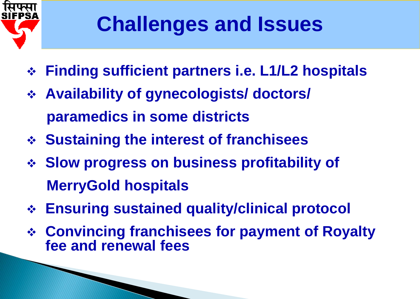

### **Challenges and Issues**

- **Finding sufficient partners i.e. L1/L2 hospitals**
- **Availability of gynecologists/ doctors/ paramedics in some districts**
- **Sustaining the interest of franchisees**
- **Slow progress on business profitability of MerryGold hospitals**
- **Ensuring sustained quality/clinical protocol**
- **Convincing franchisees for payment of Royalty fee and renewal fees**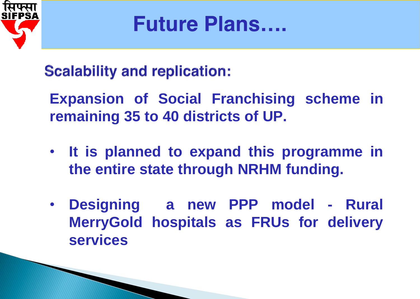

**Future Plans….** 

**Scalability and replication:** 

**Expansion of Social Franchising scheme in remaining 35 to 40 districts of UP.**

- **It is planned to expand this programme in the entire state through NRHM funding.**
- **Designing a new PPP model - Rural MerryGold hospitals as FRUs for delivery services**